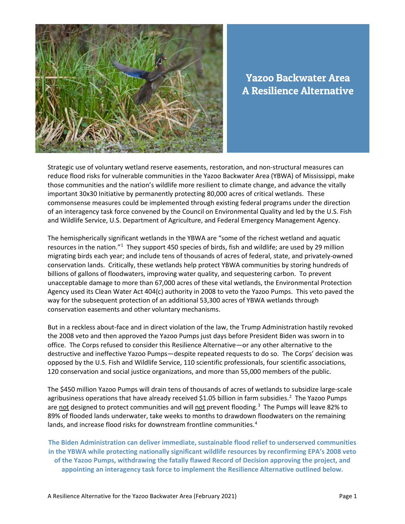

Yazoo Backwater Area A Resilience Alternative

Strategic use of voluntary wetland reserve easements, restoration, and non-structural measures can reduce flood risks for vulnerable communities in the Yazoo Backwater Area (YBWA) of Mississippi, make those communities and the nation's wildlife more resilient to climate change, and advance the vitally important 30x30 Initiative by permanently protecting 80,000 acres of critical wetlands. These commonsense measures could be implemented through existing federal programs under the direction of an interagency task force convened by the Council on Environmental Quality and led by the U.S. Fish and Wildlife Service, U.S. Department of Agriculture, and Federal Emergency Management Agency.

The hemispherically significant wetlands in the YBWA are "some of the richest wetland and aquatic resources in the nation."<sup>[1](#page-8-0)</sup> They support 450 species of birds, fish and wildlife; are used by 29 million migrating birds each year; and include tens of thousands of acres of federal, state, and privately-owned conservation lands. Critically, these wetlands help protect YBWA communities by storing hundreds of billions of gallons of floodwaters, improving water quality, and sequestering carbon. To prevent unacceptable damage to more than 67,000 acres of these vital wetlands, the Environmental Protection Agency used its Clean Water Act 404(c) authority in 2008 to veto the Yazoo Pumps. This veto paved the way for the subsequent protection of an additional 53,300 acres of YBWA wetlands through conservation easements and other voluntary mechanisms.

But in a reckless about-face and in direct violation of the law, the Trump Administration hastily revoked the 2008 veto and then approved the Yazoo Pumps just days before President Biden was sworn in to office. The Corps refused to consider this Resilience Alternative—or any other alternative to the destructive and ineffective Yazoo Pumps—despite repeated requests to do so. The Corps' decision was opposed by the U.S. Fish and Wildlife Service, 110 scientific professionals, four scientific associations, 120 conservation and social justice organizations, and more than 55,000 members of the public.

The \$450 million Yazoo Pumps will drain tens of thousands of acres of wetlands to subsidize large-scale agribusiness operations that have already received \$1.05 billion in farm subsidies.<sup>[2](#page-8-1)</sup> The Yazoo Pumps are not designed to protect communities and will not prevent flooding.<sup>[3](#page-8-2)</sup> The Pumps will leave 82% to 89% of flooded lands underwater, take weeks to months to drawdown floodwaters on the remaining lands, and increase flood risks for downstream frontline communities.<sup>[4](#page-8-3)</sup>

**The Biden Administration can deliver immediate, sustainable flood relief to underserved communities in the YBWA while protecting nationally significant wildlife resources by reconfirming EPA's 2008 veto of the Yazoo Pumps, withdrawing the fatally flawed Record of Decision approving the project, and appointing an interagency task force to implement the Resilience Alternative outlined below.**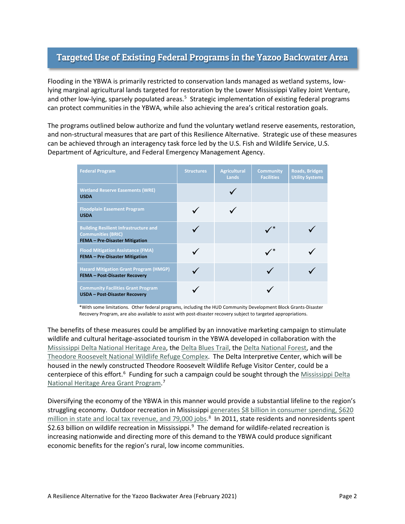# Targeted Use of Existing Federal Programs in the Yazoo Backwater Area

Flooding in the YBWA is primarily restricted to conservation lands managed as wetland systems, lowlying marginal agricultural lands targeted for restoration by the Lower Mississippi Valley Joint Venture, and other low-lying, sparsely populated areas.<sup>[5](#page-8-4)</sup> Strategic implementation of existing federal programs can protect communities in the YBWA, while also achieving the area's critical restoration goals.

The programs outlined below authorize and fund the voluntary wetland reserve easements, restoration, and non-structural measures that are part of this Resilience Alternative. Strategic use of these measures can be achieved through an interagency task force led by the U.S. Fish and Wildlife Service, U.S. Department of Agriculture, and Federal Emergency Management Agency.

| <b>Federal Program</b>                                                                                             | <b>Structures</b> | <b>Agricultural</b><br>Lands | <b>Community</b><br><b>Facilities</b> | <b>Roads, Bridges</b><br><b>Utility Systems</b> |
|--------------------------------------------------------------------------------------------------------------------|-------------------|------------------------------|---------------------------------------|-------------------------------------------------|
| <b>Wetland Reserve Easements (WRE)</b><br><b>USDA</b>                                                              |                   |                              |                                       |                                                 |
| <b>Floodplain Easement Program</b><br><b>USDA</b>                                                                  |                   |                              |                                       |                                                 |
| <b>Building Resilient Infrastructure and</b><br><b>Communities (BRIC)</b><br><b>FEMA - Pre-Disaster Mitigation</b> |                   |                              |                                       |                                                 |
| <b>Flood Mitigation Assistance (FMA)</b><br><b>FEMA - Pre-Disaster Mitigation</b>                                  |                   |                              |                                       |                                                 |
| <b>Hazard Mitigation Grant Program (HMGP)</b><br><b>FEMA - Post-Disaster Recovery</b>                              |                   |                              |                                       |                                                 |
| <b>Community Facilities Grant Program</b><br><b>USDA - Post-Disaster Recovery</b>                                  |                   |                              |                                       |                                                 |

\*With some limitations. Other federal programs, including the HUD Community Development Block Grants-Disaster Recovery Program, are also available to assist with post-disaster recovery subject to targeted appropriations.

The benefits of these measures could be amplified by an innovative marketing campaign to stimulate wildlife and cultural heritage-associated tourism in the YBWA developed in collaboration with the [Mississippi Delta National Heritage Area,](http://www.msdeltaheritage.com/about) the [Delta Blues Trail,](http://msbluestrail.org/blues_marker_list) th[e Delta National Forest,](https://www.fs.usda.gov/main/mississippi/home) and the [Theodore Roosevelt National Wildlife Refuge Complex.](https://www.fws.gov/refuge/theodore_roosevelt/) The Delta Interpretive Center, which will be housed in the newly constructed Theodore Roosevelt Wildlife Refuge Visitor Center, could be a centerpiece of this effort.<sup>6</sup> Funding for such a campaign could be sought through the Mississippi Delta [National Heritage Area Grant Program.](http://www.msdeltaheritage.com/grants) [7](#page-8-6)

Diversifying the economy of the YBWA in this manner would provide a substantial lifeline to the region's struggling economy. Outdoor recreation in Mississippi generates [\\$8 billion in consumer spending, \\$620](https://outdoorindustry.org/wp-content/uploads/2017/07/OIA_RecEcoState_MS.pdf)  million in state [and local tax revenue, and 79,000 jobs.](https://outdoorindustry.org/wp-content/uploads/2017/07/OIA_RecEcoState_MS.pdf)<sup>[8](#page-9-0)</sup> In 2011, state residents and nonresidents spent \$2.63 billion on wildlife recreation in Mississippi. [9](#page-9-1) The demand for wildlife-related recreation is increasing nationwide and directing more of this demand to the YBWA could produce significant economic benefits for the region's rural, low income communities.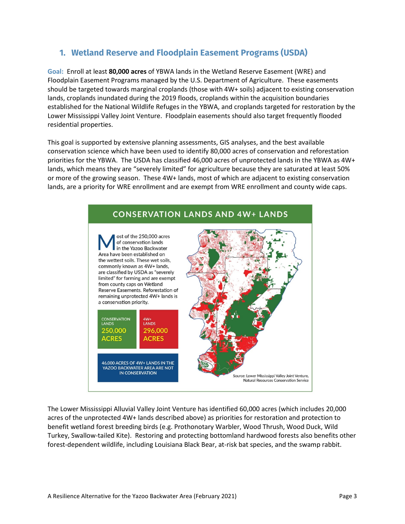# **1. Wetland Reserve and Floodplain Easement Programs (USDA)**

**Goal:** Enroll at least **80,000 acres** of YBWA lands in the Wetland Reserve Easement (WRE) and Floodplain Easement Programs managed by the U.S. Department of Agriculture. These easements should be targeted towards marginal croplands (those with 4W+ soils) adjacent to existing conservation lands, croplands inundated during the 2019 floods, croplands within the acquisition boundaries established for the National Wildlife Refuges in the YBWA, and croplands targeted for restoration by the Lower Mississippi Valley Joint Venture. Floodplain easements should also target frequently flooded residential properties.

This goal is supported by extensive planning assessments, GIS analyses, and the best available conservation science which have been used to identify 80,000 acres of conservation and reforestation priorities for the YBWA. The USDA has classified 46,000 acres of unprotected lands in the YBWA as 4W+ lands, which means they are "severely limited" for agriculture because they are saturated at least 50% or more of the growing season. These 4W+ lands, most of which are adjacent to existing conservation lands, are a priority for WRE enrollment and are exempt from WRE enrollment and county wide caps.



The Lower Mississippi Alluvial Valley Joint Venture has identified 60,000 acres (which includes 20,000 acres of the unprotected 4W+ lands described above) as priorities for restoration and protection to benefit wetland forest breeding birds (e.g. Prothonotary Warbler, Wood Thrush, Wood Duck, Wild Turkey, Swallow-tailed Kite). Restoring and protecting bottomland hardwood forests also benefits other forest-dependent wildlife, including Louisiana Black Bear, at-risk bat species, and the swamp rabbit.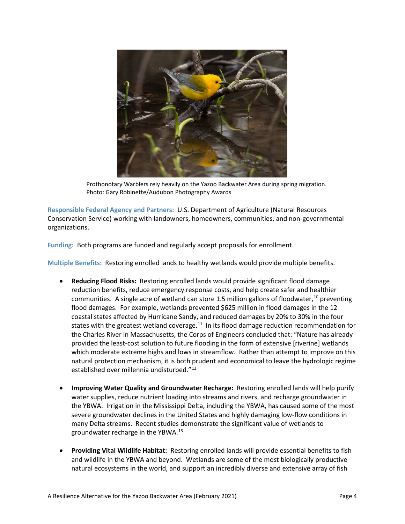

Prothonotary Warblers rely heavily on the Yazoo Backwater Area during spring migration. Photo: Gary Robinette/Audubon Photography Awards

**Responsible Federal Agency and Partners:** U.S. Department of Agriculture (Natural Resources Conservation Service) working with landowners, homeowners, communities, and non-governmental organizations.

**Funding:** Both programs are funded and regularly accept proposals for enrollment.

**Multiple Benefits:** Restoring enrolled lands to healthy wetlands would provide multiple benefits.

- **Reducing Flood Risks:** Restoring enrolled lands would provide significant flood damage reduction benefits, reduce emergency response costs, and help create safer and healthier communities. A single acre of wetland can store 1.5 million gallons of floodwater,<sup>[10](#page-9-2)</sup> preventing flood damages. For example, wetlands prevented \$625 million in flood damages in the 12 coastal states affected by Hurricane Sandy, and reduced damages by 20% to 30% in the four states with the greatest wetland coverage.<sup>[11](#page-9-3)</sup> In its flood damage reduction recommendation for the Charles River in Massachusetts, the Corps of Engineers concluded that: "Nature has already provided the least-cost solution to future flooding in the form of extensive [riverine] wetlands which moderate extreme highs and lows in streamflow. Rather than attempt to improve on this natural protection mechanism, it is both prudent and economical to leave the hydrologic regime established over millennia undisturbed."<sup>[12](#page-9-4)</sup>
- **Improving Water Quality and Groundwater Recharge:** Restoring enrolled lands will help purify water supplies, reduce nutrient loading into streams and rivers, and recharge groundwater in the YBWA. Irrigation in the Mississippi Delta, including the YBWA, has caused some of the most severe groundwater declines in the United States and highly damaging low-flow conditions in many Delta streams. Recent studies demonstrate the significant value of wetlands to groundwater recharge in the YBWA.[13](#page-9-5)
- **Providing Vital Wildlife Habitat:** Restoring enrolled lands will provide essential benefits to fish and wildlife in the YBWA and beyond. Wetlands are some of the most biologically productive natural ecosystems in the world, and support an incredibly diverse and extensive array of fish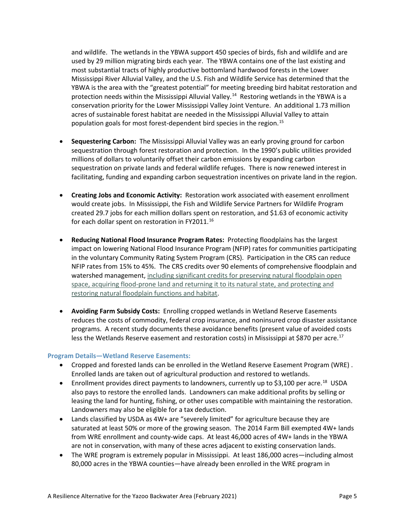and wildlife. The wetlands in the YBWA support 450 species of birds, fish and wildlife and are used by 29 million migrating birds each year. The YBWA contains one of the last existing and most substantial tracts of highly productive bottomland hardwood forests in the Lower Mississippi River Alluvial Valley, and the U.S. Fish and Wildlife Service has determined that the YBWA is the area with the "greatest potential" for meeting breeding bird habitat restoration and protection needs within the Mississippi Alluvial Valley.<sup>[14](#page-9-6)</sup> Restoring wetlands in the YBWA is a conservation priority for the Lower Mississippi Valley Joint Venture. An additional 1.73 million acres of sustainable forest habitat are needed in the Mississippi Alluvial Valley to attain population goals for most forest-dependent bird species in the region.[15](#page-9-7)

- **Sequestering Carbon:** The Mississippi Alluvial Valley was an early proving ground for carbon sequestration through forest restoration and protection. In the 1990's public utilities provided millions of dollars to voluntarily offset their carbon emissions by expanding carbon sequestration on private lands and federal wildlife refuges. There is now renewed interest in facilitating, funding and expanding carbon sequestration incentives on private land in the region.
- **Creating Jobs and Economic Activity:** Restoration work associated with easement enrollment would create jobs. In Mississippi, the Fish and Wildlife Service Partners for Wildlife Program created 29.7 jobs for each million dollars spent on restoration, and \$1.63 of economic activity for each dollar spent on restoration in FY2011.<sup>[16](#page-9-8)</sup>
- **Reducing National Flood Insurance Program Rates:** Protecting floodplains has the largest impact on lowering National Flood Insurance Program (NFIP) rates for communities participating in the voluntary Community Rating System Program (CRS). Participation in the CRS can reduce NFIP rates from 15% to 45%. The CRS credits over 90 elements of comprehensive floodplain and watershed management, [including significant credits for preserving natural floodplain open](https://www.fema.gov/media-library-data/1459276443255-663d02584edc3ac6cda2f4a7f337100b/Natural-Functions-and-CRS.pdf)  space, acquiring [flood-prone land and returning it to its natural state, and protecting and](https://www.fema.gov/media-library-data/1459276443255-663d02584edc3ac6cda2f4a7f337100b/Natural-Functions-and-CRS.pdf)  [restoring natural floodplain functions and habitat.](https://www.fema.gov/media-library-data/1459276443255-663d02584edc3ac6cda2f4a7f337100b/Natural-Functions-and-CRS.pdf)
- **Avoiding Farm Subsidy Costs:** Enrolling cropped wetlands in Wetland Reserve Easements reduces the costs of commodity, federal crop insurance, and noninsured crop disaster assistance programs. A recent study documents these avoidance benefits (present value of avoided costs less the Wetlands Reserve easement and restoration costs) in Mississippi at \$870 per acre.<sup>17</sup>

#### **Program Details—Wetland Reserve Easements:**

- Cropped and forested lands can be enrolled in the Wetland Reserve Easement Program (WRE) . Enrolled lands are taken out of agricultural production and restored to wetlands.
- Enrollment provides direct payments to landowners, currently up to \$3,100 per acre.<sup>18</sup> USDA also pays to restore the enrolled lands. Landowners can make additional profits by selling or leasing the land for hunting, fishing, or other uses compatible with maintaining the restoration. Landowners may also be eligible for a tax deduction.
- Lands classified by USDA as 4W+ are "severely limited" for agriculture because they are saturated at least 50% or more of the growing season. The 2014 Farm Bill exempted 4W+ lands from WRE enrollment and county-wide caps. At least 46,000 acres of 4W+ lands in the YBWA are not in conservation, with many of these acres adjacent to existing conservation lands.
- The WRE program is extremely popular in Mississippi. At least 186,000 acres—including almost 80,000 acres in the YBWA counties—have already been enrolled in the WRE program in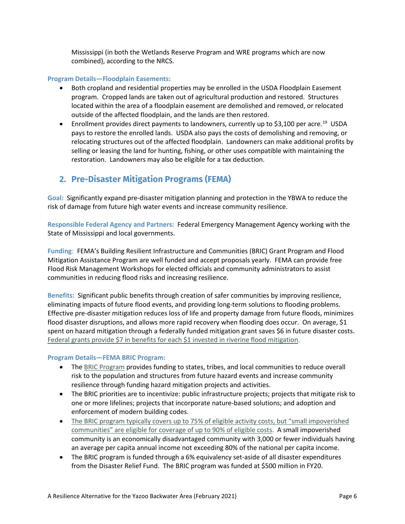Mississippi (in both the Wetlands Reserve Program and WRE programs which are now combined), according to the NRCS.

#### **Program Details—Floodplain Easements:**

- Both cropland and residential properties may be enrolled in the USDA Floodplain Easement program. Cropped lands are taken out of agricultural production and restored. Structures located within the area of a floodplain easement are demolished and removed, or relocated outside of the affected floodplain, and the lands are then restored.
- Enrollment provides direct payments to landowners, currently up to \$3,100 per acre.<sup>19</sup> USDA pays to restore the enrolled lands. USDA also pays the costs of demolishing and removing, or relocating structures out of the affected floodplain. Landowners can make additional profits by selling or leasing the land for hunting, fishing, or other uses compatible with maintaining the restoration. Landowners may also be eligible for a tax deduction.

# **2. Pre-Disaster Mitigation Programs (FEMA)**

**Goal:** Significantly expand pre-disaster mitigation planning and protection in the YBWA to reduce the risk of damage from future high water events and increase community resilience.

**Responsible Federal Agency and Partners:** Federal Emergency Management Agency working with the State of Mississippi and local governments.

**Funding**: FEMA's Building Resilient Infrastructure and Communities (BRIC) Grant Program and Flood Mitigation Assistance Program are well funded and accept proposals yearly. FEMA can provide free Flood Risk Management Workshops for elected officials and community administrators to assist communities in reducing flood risks and increasing resilience.

**Benefits:** Significant public benefits through creation of safer communities by improving resilience, eliminating impacts of future flood events, and providing long-term solutions to flooding problems. Effective pre-disaster mitigation reduces loss of life and property damage from future floods, minimizes flood disaster disruptions, and allows more rapid recovery when flooding does occur. On average, \$1 spent on hazard mitigation through a federally funded mitigation grant saves \$6 in future disaster costs. [Federal grants provide \\$7 in benefits for each \\$1 invested in riverine flood mitigation.](https://cdn.ymaws.com/www.nibs.org/resource/resmgr/docs/MS_Grants-Flood.pdf)

# **Program Details—FEMA BRIC Program:**

- The [BRIC Program](https://www.fema.gov/grants/mitigation/building-resilient-infrastructure-communities) provides funding to states, tribes, and local communities to reduce overall risk to the population and structures from future hazard events and increase community resilience through funding hazard mitigation projects and activities.
- The BRIC priorities are to incentivize: public infrastructure projects; projects that mitigate risk to one or more lifelines; projects that incorporate nature-based solutions; and adoption and enforcement of modern building codes.
- The BRIC program typically covers up to 75% of eligible activity costs, but "small impoverished [communities" are eligible for coverage of up to 90% of eligible costs.](https://www.fema.gov/sites/default/files/2020-09/fema_bric_fy-2020_nofo_fact-sheet.pdf) A small impoverished community is an economically disadvantaged community with 3,000 or fewer individuals having an average per capita annual income not exceeding 80% of the national per capita income.
- The BRIC program is funded through a 6% equivalency set-aside of all disaster expenditures from the Disaster Relief Fund. The BRIC program was funded at \$500 million in FY20.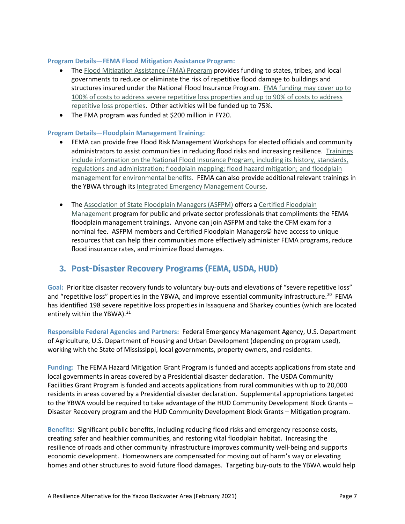### **Program Details—FEMA Flood Mitigation Assistance Program:**

- The [Flood Mitigation Assistance \(FMA\) Program](https://www.fema.gov/grants/mitigation/floods) provides funding to states, tribes, and local governments to reduce or eliminate the risk of repetitive flood damage to buildings and structures insured under the National Flood Insurance Program. [FMA funding may cover up to](https://www.fema.gov/sites/default/files/documents/fema_nofo-fy20-flood-mitigation-assistance_december-2020.pdf)  [100% of costs to address severe repetitive loss properties and up to 90% of costs to address](https://www.fema.gov/sites/default/files/documents/fema_nofo-fy20-flood-mitigation-assistance_december-2020.pdf)  [repetitive loss properties.](https://www.fema.gov/sites/default/files/documents/fema_nofo-fy20-flood-mitigation-assistance_december-2020.pdf) Other activities will be funded up to 75%.
- The FMA program was funded at \$200 million in FY20.

#### **Program Details—Floodplain Management Training:**

- FEMA can provide free Flood Risk Management Workshops for elected officials and community administrators to assist communities in reducing flood risks and increasing resilience. [Trainings](https://www.floods.org/)  [include information on the National Flood Insurance Program, including its history, standards,](https://www.floods.org/)  [regulations and administration; floodplain mapping; flood hazard mitigation; and floodplain](https://www.floods.org/)  [management for environmental benefits.](https://www.floods.org/) FEMA can also provide additional relevant trainings in the YBWA through its [Integrated Emergency Management Course.](https://training.fema.gov/iemc/)
- The [Association of State Floodplain Managers \(ASFPM\)](https://www.floods.org/) offers a Certified Floodplain [Management](https://www.floods.org/index.asp?menuid=426&firstlevelmenuid=180&siteid=1) program for public and private sector professionals that compliments the FEMA floodplain management trainings. Anyone can join ASFPM and take the CFM exam for a nominal fee. ASFPM members and Certified Floodplain Managers© have access to unique resources that can help their communities more effectively administer FEMA programs, reduce flood insurance rates, and minimize flood damages.

# **3. Post-Disaster Recovery Programs (FEMA, USDA, HUD)**

Goal: Prioritize disaster recovery funds to voluntary buy-outs and elevations of "severe repetitive loss" and "repetitive loss" properties in the YBWA, and improve essential community infrastructure.<sup>20</sup> FEMA has identified 198 severe repetitive loss properties in Issaquena and Sharkey counties (which are located entirely within the YBWA). [21](#page-9-13) 

**Responsible Federal Agencies and Partners:** Federal Emergency Management Agency, U.S. Department of Agriculture, U.S. Department of Housing and Urban Development (depending on program used), working with the State of Mississippi, local governments, property owners, and residents.

**Funding:** The FEMA Hazard Mitigation Grant Program is funded and accepts applications from state and local governments in areas covered by a Presidential disaster declaration. The USDA Community Facilities Grant Program is funded and accepts applications from rural communities with up to 20,000 residents in areas covered by a Presidential disaster declaration. Supplemental appropriations targeted to the YBWA would be required to take advantage of the HUD Community Development Block Grants – Disaster Recovery program and the HUD Community Development Block Grants – Mitigation program.

**Benefits:** Significant public benefits, including reducing flood risks and emergency response costs, creating safer and healthier communities, and restoring vital floodplain habitat. Increasing the resilience of roads and other community infrastructure improves community well-being and supports economic development. Homeowners are compensated for moving out of harm's way or elevating homes and other structures to avoid future flood damages. Targeting buy-outs to the YBWA would help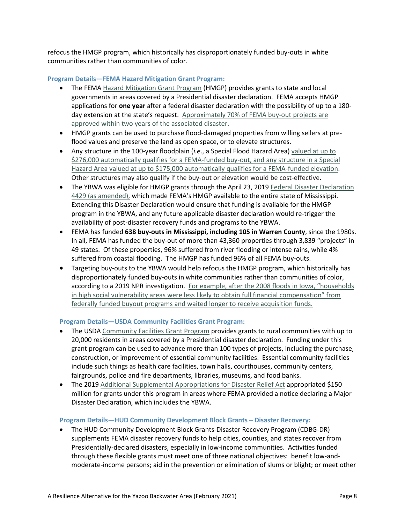refocus the HMGP program, which historically has disproportionately funded buy-outs in white communities rather than communities of color.

### **Program Details—FEMA Hazard Mitigation Grant Program:**

- The FEMA [Hazard Mitigation Grant Program](https://www.fema.gov/grants/mitigation/hazard-mitigation) (HMGP) provides grants to state and local governments in areas covered by a Presidential disaster declaration. FEMA accepts HMGP applications for **one year** after a federal disaster declaration with the possibility of up to a 180 day extension at the state's request. [Approximately 70% of FEMA buy-out projects](https://www.nrdc.org/sites/default/files/going-under-post-flood-buyouts-report.pdf) are [approved within two years of the associated disaster.](https://www.nrdc.org/sites/default/files/going-under-post-flood-buyouts-report.pdf)
- HMGP grants can be used to purchase flood-damaged properties from willing sellers at preflood values and preserve the land as open space, or to elevate structures.
- Any structure in the 100-year floodplain (*i.e*., a Special Flood Hazard Area) [valued at up to](https://www.fema.gov/media-library-data/1382557637411-c1e5842153d2c957aabc0a09f008564c/PrecalcBenClarific_memo_508withsig.pdf)  [\\$276,000 automatically qualifies for a FEMA-funded buy-out, and any structure in a Special](https://www.fema.gov/media-library-data/1382557637411-c1e5842153d2c957aabc0a09f008564c/PrecalcBenClarific_memo_508withsig.pdf)  [Hazard Area valued at up to \\$175,000 automatically qualifies for a FEMA-funded elevation.](https://www.fema.gov/media-library-data/1382557637411-c1e5842153d2c957aabc0a09f008564c/PrecalcBenClarific_memo_508withsig.pdf) Other structures may also qualify if the buy-out or elevation would be cost-effective.
- The YBWA was eligible for HMGP grants through the April 23, 2019 [Federal Disaster Declaration](https://www.fema.gov/disaster/4429/notices)  [4429](https://www.fema.gov/disaster/4429/notices) (as amended), which made FEMA's HMGP available to the entire state of Mississippi. Extending this Disaster Declaration would ensure that funding is available for the HMGP program in the YBWA, and any future applicable disaster declaration would re-trigger the availability of post-disaster recovery funds and programs to the YBWA.
- FEMA has funded **638 buy-outs in Mississippi, including 105 in Warren County**, since the 1980s. In all, FEMA has funded the buy-out of more than 43,360 properties through 3,839 "projects" in 49 states. Of these properties, 96% suffered from river flooding or intense rains, while 4% suffered from coastal flooding. The HMGP has funded 96% of all FEMA buy-outs.
- Targeting buy-outs to the YBWA would help refocus the HMGP program, which historically has disproportionately funded buy-outs in white communities rather than communities of color, according to a 2019 NPR investigation. For example, after the 2008 floods in Iowa, "households [in high social vulnerability areas were less likely to obtain full financial compensation" from](https://www.nrdc.org/sites/default/files/going-under-post-flood-buyouts-report.pdf)  [federally funded buyout programs and waited longer to receive acquisition funds.](https://www.nrdc.org/sites/default/files/going-under-post-flood-buyouts-report.pdf)

# **Program Details—USDA Community Facilities Grant Program:**

- The USDA [Community Facilities Grant Program](https://www.rd.usda.gov/programs-services/community-facilities-direct-loan-grant-program) provides grants to rural communities with up to 20,000 residents in areas covered by a Presidential disaster declaration. Funding under this grant program can be used to advance more than 100 types of projects, including the purchase, construction, or improvement of essential community facilities. Essential community facilities include such things as health care facilities, town halls, courthouses, community centers, fairgrounds, police and fire departments, libraries, museums, and food banks.
- The 2019 [Additional Supplemental Appropriations for Disaster Relief Act](https://www.usda.gov/media/press-releases/2019/09/10/usda-provide-150-million-help-rural-communities-affected-natural) appropriated \$150 million for grants under this program in areas where FEMA provided a notice declaring a Major Disaster Declaration, which includes the YBWA.

#### **Program Details—HUD Community Development Block Grants – Disaster Recovery:**

• The HUD Community Development Block Grants-Disaster Recovery Program (CDBG-DR) supplements FEMA disaster recovery funds to help cities, counties, and states recover from Presidentially-declared disasters, especially in low-income communities. Activities funded through these flexible grants must meet one of three national objectives: benefit low-andmoderate-income persons; aid in the prevention or elimination of slums or blight; or meet other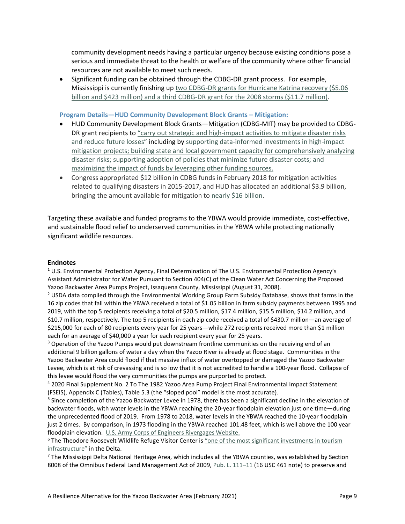community development needs having a particular urgency because existing conditions pose a serious and immediate threat to the health or welfare of the community where other financial resources are not available to meet such needs.

• Significant funding can be obtained through the CDBG-DR grant process. For example, Mississippi is currently finishing up [two CDBG-DR grants for Hurricane Katrina recovery \(\\$5.06](https://files.hudexchange.info/resources/documents/CDBG-DR-Grant-Expenditure-Report-2021-01-01.pdf)  [billion and \\$423 million\) and a third CDBG-DR grant for the 2008 storms \(\\$11.7 million\).](https://files.hudexchange.info/resources/documents/CDBG-DR-Grant-Expenditure-Report-2021-01-01.pdf)

# **Program Details—HUD Community Development Block Grants – Mitigation:**

- HUD Community Development Block Grants—Mitigation (CDBG-MIT) may be provided to CDBG-DR grant recipients to ["carry out strategic and high-impact activities to mitigate disaster risks](https://files.hudexchange.info/resources/documents/FR-6109-N-02-CDBG-Mitigation-Notice.pdf)  [and reduce future losses"](https://files.hudexchange.info/resources/documents/FR-6109-N-02-CDBG-Mitigation-Notice.pdf) including by supporting data-informed investments in high-impact mitigation projects; [building state and local government capacity for comprehensively analyzing](https://www.hudexchange.info/programs/cdbg-mit/overview/)  disaster risks; [supporting adoption of policies that minimize future disaster costs;](https://www.hudexchange.info/programs/cdbg-mit/overview/) and [maximizing the impact of funds by leveraging other funding sources.](https://www.hudexchange.info/programs/cdbg-mit/overview/)
- Congress appropriated \$12 billion in CDBG funds in February 2018 for mitigation activities related to qualifying disasters in 2015-2017, and HUD has allocated an additional \$3.9 billion, bringing the amount available for mitigation to [nearly \\$16 billion.](https://www.hudexchange.info/programs/cdbg-mit/overview/)

Targeting these available and funded programs to the YBWA would provide immediate, cost-effective, and sustainable flood relief to underserved communities in the YBWA while protecting nationally significant wildlife resources.

#### **Endnotes**

<span id="page-8-0"></span><sup>1</sup> U.S. Environmental Protection Agency, Final Determination of The U.S. Environmental Protection Agency's Assistant Administrator for Water Pursuant to Section 404(C) of the Clean Water Act Concerning the Proposed Yazoo Backwater Area Pumps Project, Issaquena County, Mississippi (August 31, 2008).

<span id="page-8-1"></span><sup>2</sup> USDA data compiled through the Environmental Working Group Farm Subsidy Database, shows that farms in the 16 zip codes that fall within the YBWA received a total of \$1.05 billion in farm subsidy payments between 1995 and 2019, with the top 5 recipients receiving a total of \$20.5 million, \$17.4 million, \$15.5 million, \$14.2 million, and \$10.7 million, respectively. The top 5 recipients in each zip code received a total of \$430.7 million—an average of \$215,000 for each of 80 recipients every year for 25 years—while 272 recipients received more than \$1 million each for an average of \$40,000 a year for each recipient every year for 25 years.

<span id="page-8-2"></span><sup>3</sup> Operation of the Yazoo Pumps would put downstream frontline communities on the receiving end of an additional 9 billion gallons of water a day when the Yazoo River is already at flood stage. Communities in the Yazoo Backwater Area could flood if that massive influx of water overtopped or damaged the Yazoo Backwater Levee, which is at risk of crevassing and is so low that it is not accredited to handle a 100-year flood. Collapse of this levee would flood the very communities the pumps are purported to protect.<br>4 2020 Final Supplement No. 2 To The 1982 Yazoo Area Pump Project Final Environmental Impact Statement

<span id="page-8-4"></span><span id="page-8-3"></span>(FSEIS), Appendix C (Tables), Table 5.3 (the "sloped pool" model is the most accurate).<br><sup>5</sup> Since completion of the Yazoo Backwater Levee in 1978, there has been a significant decline in the elevation of backwater floods, with water levels in the YBWA reaching the 20-year floodplain elevation just one time—during the unprecedented flood of 2019. From 1978 to 2018, water levels in the YBWA reached the 10-year floodplain just 2 times. By comparison, in 1973 flooding in the YBWA reached 101.48 feet, which is well above the 100 year floodplain elevation. [U.S. Army Corps of Engineers Rivergages Website.](http://rivergages.mvr.usace.army.mil/)

<span id="page-8-5"></span><sup>6</sup> The Theodore Roosevelt Wildlife Refuge Visitor Center is "one of the most significant investments in tourism

<span id="page-8-6"></span>[i](https://www.fws.gov/southeast/news/2016/10/us-fish-and-wildlife-service-and-partners-break-ground-on-theodore-roosevelt-visitor-center/)nfrastructure" in the Delta.<br><sup>7</sup> The Mississippi Delta National Heritage Area, which includes all the YBWA counties, was established by Section 8008 of the Omnibus Federal Land Management Act of 2009[, Pub. L. 111–11](https://www.congress.gov/111/plaws/publ11/PLAW-111publ11.pdf) (16 USC 461 note) to preserve and